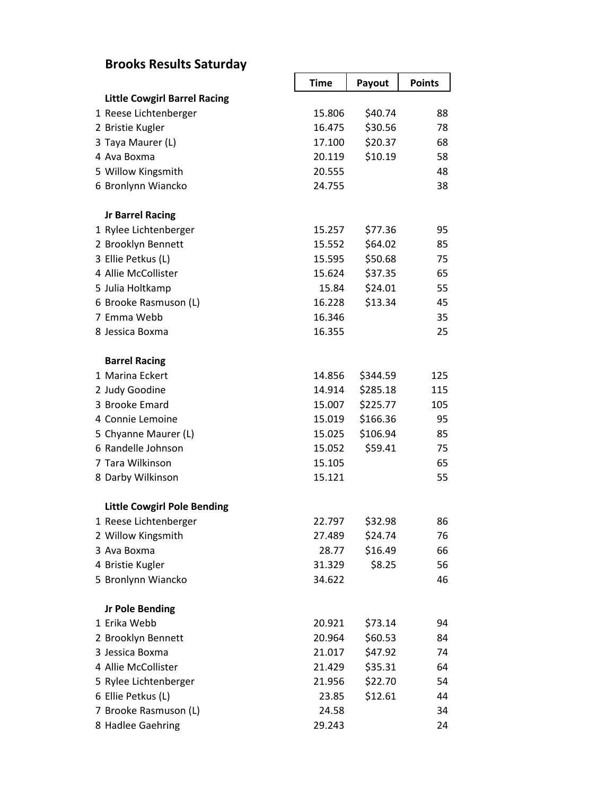## **Brooks Results Saturday**

|                                     | <b>Time</b> | Payout   | <b>Points</b> |
|-------------------------------------|-------------|----------|---------------|
| <b>Little Cowgirl Barrel Racing</b> |             |          |               |
| 1 Reese Lichtenberger               | 15.806      | \$40.74  | 88            |
| 2 Bristie Kugler                    | 16.475      | \$30.56  | 78            |
| 3 Taya Maurer (L)                   | 17.100      | \$20.37  | 68            |
| 4 Ava Boxma                         | 20.119      | \$10.19  | 58            |
| 5 Willow Kingsmith                  | 20.555      |          | 48            |
| 6 Bronlynn Wiancko                  | 24.755      |          | 38            |
| <b>Jr Barrel Racing</b>             |             |          |               |
| 1 Rylee Lichtenberger               | 15.257      | \$77.36  | 95            |
| 2 Brooklyn Bennett                  | 15.552      | \$64.02  | 85            |
| 3 Ellie Petkus (L)                  | 15.595      | \$50.68  | 75            |
| 4 Allie McCollister                 | 15.624      | \$37.35  | 65            |
| 5 Julia Holtkamp                    | 15.84       | \$24.01  | 55            |
| 6 Brooke Rasmuson (L)               | 16.228      | \$13.34  | 45            |
| 7 Emma Webb                         | 16.346      |          | 35            |
| 8 Jessica Boxma                     | 16.355      |          | 25            |
| <b>Barrel Racing</b>                |             |          |               |
| 1 Marina Eckert                     | 14.856      | \$344.59 | 125           |
| 2 Judy Goodine                      | 14.914      | \$285.18 | 115           |
| 3 Brooke Emard                      | 15.007      | \$225.77 | 105           |
| 4 Connie Lemoine                    | 15.019      | \$166.36 | 95            |
| 5 Chyanne Maurer (L)                | 15.025      | \$106.94 | 85            |
| 6 Randelle Johnson                  | 15.052      | \$59.41  | 75            |
| 7 Tara Wilkinson                    | 15.105      |          | 65            |
| 8 Darby Wilkinson                   | 15.121      |          | 55            |
| <b>Little Cowgirl Pole Bending</b>  |             |          |               |
| 1 Reese Lichtenberger               | 22.797      | \$32.98  | 86            |
| 2 Willow Kingsmith                  | 27.489      | \$24.74  | 76            |
| 3 Ava Boxma                         | 28.77       | \$16.49  | 66            |
| 4 Bristie Kugler                    | 31.329      | \$8.25   | 56            |
| 5 Bronlynn Wiancko                  | 34.622      |          | 46            |
| <b>Jr Pole Bending</b>              |             |          |               |
| 1 Erika Webb                        | 20.921      | \$73.14  | 94            |
| 2 Brooklyn Bennett                  | 20.964      | \$60.53  | 84            |
| 3 Jessica Boxma                     | 21.017      | \$47.92  | 74            |
| 4 Allie McCollister                 | 21.429      | \$35.31  | 64            |
| 5 Rylee Lichtenberger               | 21.956      | \$22.70  | 54            |
| 6 Ellie Petkus (L)                  | 23.85       | \$12.61  | 44            |
| 7 Brooke Rasmuson (L)               | 24.58       |          | 34            |
| 8 Hadlee Gaehring                   | 29.243      |          | 24            |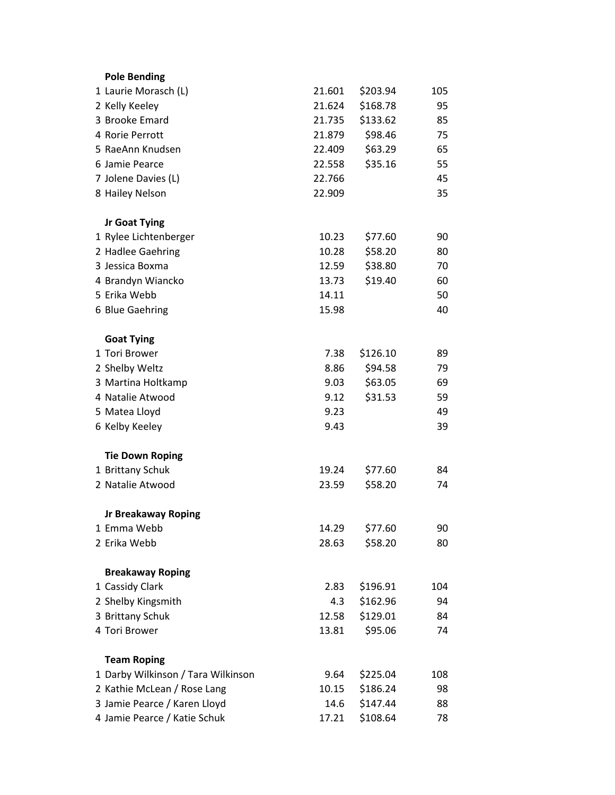| <b>Pole Bending</b>                |        |          |     |
|------------------------------------|--------|----------|-----|
| 1 Laurie Morasch (L)               | 21.601 | \$203.94 | 105 |
| 2 Kelly Keeley                     | 21.624 | \$168.78 | 95  |
| 3 Brooke Emard                     | 21.735 | \$133.62 | 85  |
| 4 Rorie Perrott                    | 21.879 | \$98.46  | 75  |
| 5 RaeAnn Knudsen                   | 22.409 | \$63.29  | 65  |
| 6 Jamie Pearce                     | 22.558 | \$35.16  | 55  |
| 7 Jolene Davies (L)                | 22.766 |          | 45  |
| 8 Hailey Nelson                    | 22.909 |          | 35  |
| Jr Goat Tying                      |        |          |     |
| 1 Rylee Lichtenberger              | 10.23  | \$77.60  | 90  |
| 2 Hadlee Gaehring                  | 10.28  | \$58.20  | 80  |
| 3 Jessica Boxma                    | 12.59  | \$38.80  | 70  |
| 4 Brandyn Wiancko                  | 13.73  | \$19.40  | 60  |
| 5 Erika Webb                       | 14.11  |          | 50  |
| 6 Blue Gaehring                    | 15.98  |          | 40  |
| <b>Goat Tying</b>                  |        |          |     |
| 1 Tori Brower                      | 7.38   | \$126.10 | 89  |
| 2 Shelby Weltz                     | 8.86   | \$94.58  | 79  |
| 3 Martina Holtkamp                 | 9.03   | \$63.05  | 69  |
| 4 Natalie Atwood                   | 9.12   | \$31.53  | 59  |
| 5 Matea Lloyd                      | 9.23   |          | 49  |
| 6 Kelby Keeley                     | 9.43   |          | 39  |
| <b>Tie Down Roping</b>             |        |          |     |
| 1 Brittany Schuk                   | 19.24  | \$77.60  | 84  |
| 2 Natalie Atwood                   | 23.59  | \$58.20  | 74  |
| <b>Jr Breakaway Roping</b>         |        |          |     |
| 1 Emma Webb                        | 14.29  | \$77.60  | 90  |
| 2 Erika Webb                       | 28.63  | \$58.20  | 80  |
| <b>Breakaway Roping</b>            |        |          |     |
| 1 Cassidy Clark                    | 2.83   | \$196.91 | 104 |
| 2 Shelby Kingsmith                 | 4.3    | \$162.96 | 94  |
| 3 Brittany Schuk                   | 12.58  | \$129.01 | 84  |
| 4 Tori Brower                      | 13.81  | \$95.06  | 74  |
| <b>Team Roping</b>                 |        |          |     |
| 1 Darby Wilkinson / Tara Wilkinson | 9.64   | \$225.04 | 108 |
| 2 Kathie McLean / Rose Lang        | 10.15  | \$186.24 | 98  |
| 3 Jamie Pearce / Karen Lloyd       | 14.6   | \$147.44 | 88  |
| 4 Jamie Pearce / Katie Schuk       | 17.21  | \$108.64 | 78  |